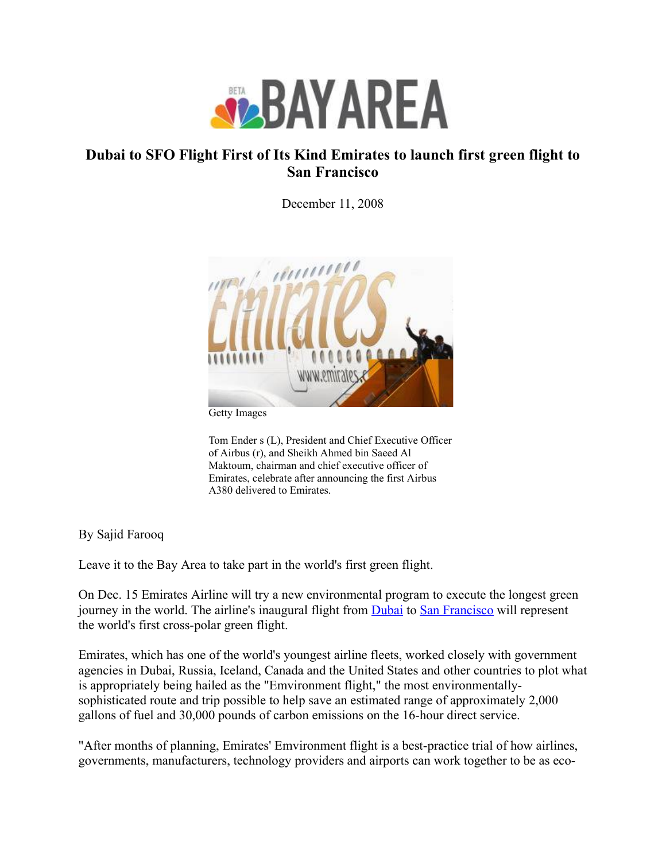

## Dubai to SFO Flight First of Its Kind Emirates to launch first green flight to San Francisco

December 11, 2008



Getty Images

Tom Ender s (L), President and Chief Executive Officer of Airbus (r), and Sheikh Ahmed bin Saeed Al Maktoum, chairman and chief executive officer of Emirates, celebrate after announcing the first Airbus A380 delivered to Emirates.

By Sajid Farooq

Leave it to the Bay Area to take part in the world's first green flight.

On Dec. 15 Emirates Airline will try a new environmental program to execute the longest green journey in the world. The airline's inaugural flight from **[Dubai](http://www.nbcbayarea.com/topics?topic=Dubai)** to San [Francisco](http://www.nbcbayarea.com/topics?topic=San+Francisco) will represent the world's first cross-polar green flight.

Emirates, which has one of the world's youngest airline fleets, worked closely with government agencies in Dubai, Russia, Iceland, Canada and the United States and other countries to plot what is appropriately being hailed as the "Emvironment flight," the most environmentallysophisticated route and trip possible to help save an estimated range of approximately 2,000 gallons of fuel and 30,000 pounds of carbon emissions on the 16-hour direct service.

"After months of planning, Emirates' Emvironment flight is a best-practice trial of how airlines, governments, manufacturers, technology providers and airports can work together to be as eco